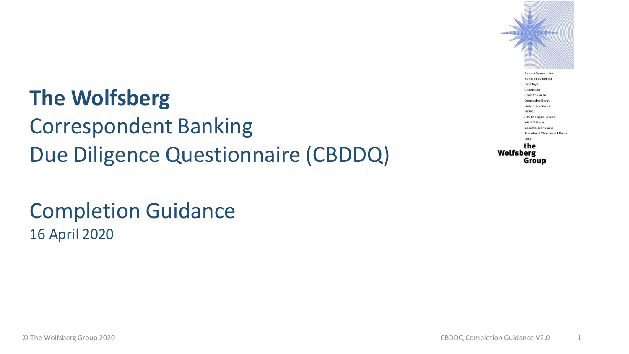#### **The Wolfsberg**

Correspondent Banking Due Diligence Questionnaire (CBDDQ)

#### Completion Guidance 16 April 2020

**Banco Santander Bank of America Barclays** Citigroup **Credit Suisse** Deutsche Bank Goldman Sachs **HSBC** J.P. Morgan Chase MUFG Bank Société Générale **Standard Chartered Bank UBS** the **Wolfsberg** Group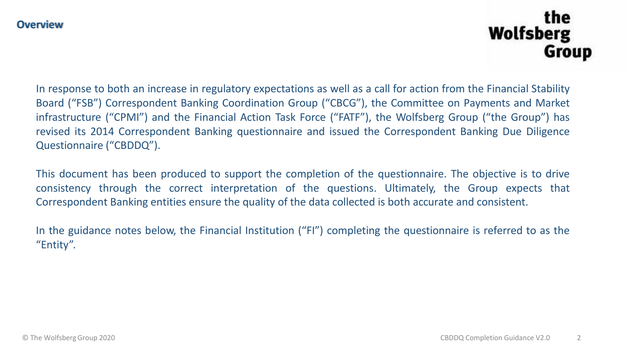#### the **Wolfsberg** Group

In response to both an increase in regulatory expectations as well as a call for action from the Financial Stability Board ("FSB") Correspondent Banking Coordination Group ("CBCG"), the Committee on Payments and Market infrastructure ("CPMI") and the Financial Action Task Force ("FATF"), the Wolfsberg Group ("the Group") has revised its 2014 Correspondent Banking questionnaire and issued the Correspondent Banking Due Diligence Questionnaire ("CBDDQ").

This document has been produced to support the completion of the questionnaire. The objective is to drive consistency through the correct interpretation of the questions. Ultimately, the Group expects that Correspondent Banking entities ensure the quality of the data collected is both accurate and consistent.

In the guidance notes below, the Financial Institution ("FI") completing the questionnaire is referred to as the "Entity".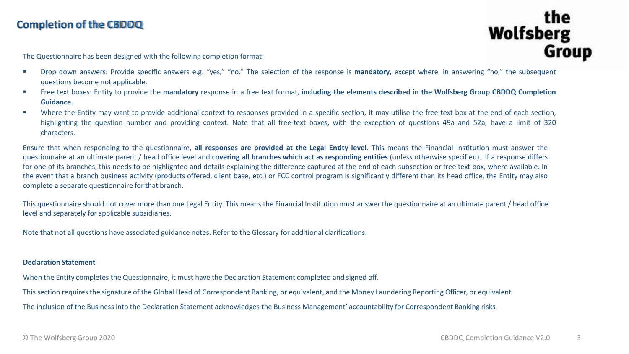#### **Completion of the CBDDQ**

#### **Wolfsberg Group**

The Questionnaire has been designed with the following completion format:

- Drop down answers: Provide specific answers e.g. "yes," "no." The selection of the response is **mandatory**, except where, in answering "no," the subsequent questions become not applicable.
- " Free text boxes: Entity to provide the mandatory response in a free text format, including the elements described in the Wolfsberg Group CBDDQ Completion **Guidance**.
- Where the Entity may want to provide additional context to responses provided in a specific section, it may utilise the free text box at the end of each section, highlighting the question number and providing context. Note that all free-text boxes, with the exception of questions 49a and 52a, have a limit of 320 characters.

Ensure that when responding to the questionnaire, **all responses are provided at the Legal Entity level**. This means the Financial Institution must answer the questionnaire at an ultimate parent / head office level and **covering all branches which act as responding entities** (unless otherwise specified). If a response differs for one of its branches, this needs to be highlighted and details explaining the difference captured at the end of each subsection or free text box, where available. In the event that a branch business activity (products offered, client base, etc.) or FCC control program is significantly different than its head office, the Entity may also complete a separate questionnaire for that branch.

This questionnaire should not cover more than one Legal Entity. This means the Financial Institution must answer the questionnaire at an ultimate parent / head office level and separately for applicable subsidiaries.

Note that not all questions have associated guidance notes. Refer to the Glossary for additional clarifications.

#### **Declaration Statement**

When the Entity completes the Questionnaire, it must have the Declaration Statement completed and signed off.

This section requiresthe signature of the Global Head of Correspondent Banking, or equivalent, and the Money Laundering Reporting Officer, or equivalent.

The inclusion of the Business into the Declaration Statement acknowledges the Business Management' accountability for Correspondent Banking risks.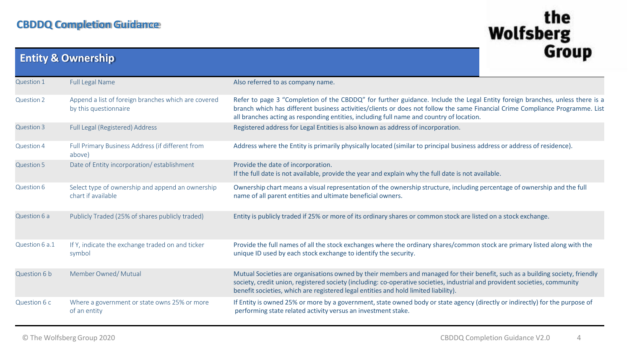|                   | <b>Entity &amp; Ownership</b>                                                | ulvup                                                                                                                                                                                                                                                                                                                                                     |  |
|-------------------|------------------------------------------------------------------------------|-----------------------------------------------------------------------------------------------------------------------------------------------------------------------------------------------------------------------------------------------------------------------------------------------------------------------------------------------------------|--|
| Question 1        | <b>Full Legal Name</b>                                                       | Also referred to as company name.                                                                                                                                                                                                                                                                                                                         |  |
| Question 2        | Append a list of foreign branches which are covered<br>by this questionnaire | Refer to page 3 "Completion of the CBDDQ" for further guidance. Include the Legal Entity foreign branches, unless there is a<br>branch which has different business activities/clients or does not follow the same Financial Crime Compliance Programme. List<br>all branches acting as responding entities, including full name and country of location. |  |
| Question 3        | Full Legal (Registered) Address                                              | Registered address for Legal Entities is also known as address of incorporation.                                                                                                                                                                                                                                                                          |  |
| Question 4        | Full Primary Business Address (if different from<br>above)                   | Address where the Entity is primarily physically located (similar to principal business address or address of residence).                                                                                                                                                                                                                                 |  |
| <b>Question 5</b> | Date of Entity incorporation/establishment                                   | Provide the date of incorporation.<br>If the full date is not available, provide the year and explain why the full date is not available.                                                                                                                                                                                                                 |  |
| Question 6        | Select type of ownership and append an ownership<br>chart if available       | Ownership chart means a visual representation of the ownership structure, including percentage of ownership and the full<br>name of all parent entities and ultimate beneficial owners.                                                                                                                                                                   |  |
| Question 6 a      | Publicly Traded (25% of shares publicly traded)                              | Entity is publicly traded if 25% or more of its ordinary shares or common stock are listed on a stock exchange.                                                                                                                                                                                                                                           |  |
| Question 6 a.1    | If Y, indicate the exchange traded on and ticker<br>symbol                   | Provide the full names of all the stock exchanges where the ordinary shares/common stock are primary listed along with the<br>unique ID used by each stock exchange to identify the security.                                                                                                                                                             |  |
| Question 6 b      | Member Owned/Mutual                                                          | Mutual Societies are organisations owned by their members and managed for their benefit, such as a building society, friendly<br>society, credit union, registered society (including: co-operative societies, industrial and provident societies, community<br>benefit societies, which are registered legal entities and hold limited liability).       |  |
| Question 6 c      | Where a government or state owns 25% or more<br>of an entity                 | If Entity is owned 25% or more by a government, state owned body or state agency (directly or indirectly) for the purpose of<br>performing state related activity versus an investment stake.                                                                                                                                                             |  |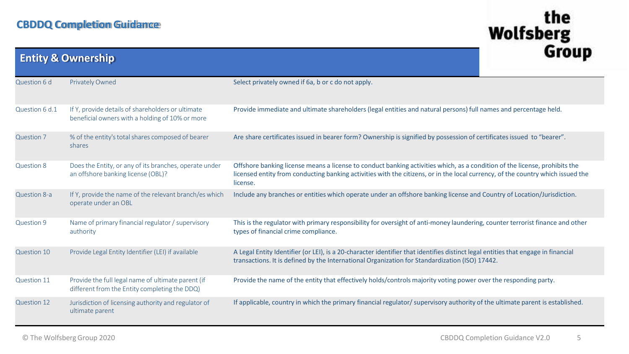|                   | <b>Entity &amp; Ownership</b>                                                                        |                                                                                                                                                                                                                                                                           |  |
|-------------------|------------------------------------------------------------------------------------------------------|---------------------------------------------------------------------------------------------------------------------------------------------------------------------------------------------------------------------------------------------------------------------------|--|
| Question 6 d      | <b>Privately Owned</b>                                                                               | Select privately owned if 6a, b or c do not apply.                                                                                                                                                                                                                        |  |
| Question 6 d.1    | If Y, provide details of shareholders or ultimate<br>beneficial owners with a holding of 10% or more | Provide immediate and ultimate shareholders (legal entities and natural persons) full names and percentage held.                                                                                                                                                          |  |
| <b>Question 7</b> | % of the entity's total shares composed of bearer<br>shares                                          | Are share certificates issued in bearer form? Ownership is signified by possession of certificates issued to "bearer".                                                                                                                                                    |  |
| <b>Question 8</b> | Does the Entity, or any of its branches, operate under<br>an offshore banking license (OBL)?         | Offshore banking license means a license to conduct banking activities which, as a condition of the license, prohibits the<br>licensed entity from conducting banking activities with the citizens, or in the local currency, of the country which issued the<br>license. |  |
| Question 8-a      | If Y, provide the name of the relevant branch/es which<br>operate under an OBL                       | Include any branches or entities which operate under an offshore banking license and Country of Location/Jurisdiction.                                                                                                                                                    |  |
| Question 9        | Name of primary financial regulator / supervisory<br>authority                                       | This is the regulator with primary responsibility for oversight of anti-money laundering, counter terrorist finance and other<br>types of financial crime compliance.                                                                                                     |  |
| Question 10       | Provide Legal Entity Identifier (LEI) if available                                                   | A Legal Entity Identifier (or LEI), is a 20-character identifier that identifies distinct legal entities that engage in financial<br>transactions. It is defined by the International Organization for Standardization (ISO) 17442.                                       |  |
| Question 11       | Provide the full legal name of ultimate parent (if<br>different from the Entity completing the DDQ)  | Provide the name of the entity that effectively holds/controls majority voting power over the responding party.                                                                                                                                                           |  |
| Question 12       | Jurisdiction of licensing authority and regulator of<br>ultimate parent                              | If applicable, country in which the primary financial regulator/ supervisory authority of the ultimate parent is established.                                                                                                                                             |  |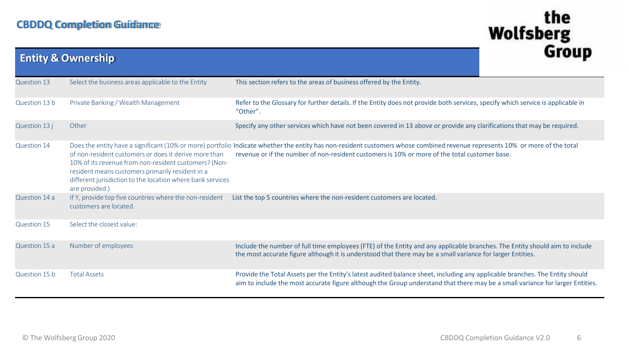|                    | <b>Entity &amp; Ownership</b>                                                                                                                                                                                                                      |                                                                                                                                                                                                                                                                               | uivuu |
|--------------------|----------------------------------------------------------------------------------------------------------------------------------------------------------------------------------------------------------------------------------------------------|-------------------------------------------------------------------------------------------------------------------------------------------------------------------------------------------------------------------------------------------------------------------------------|-------|
| <b>Question 13</b> | Select the business areas applicable to the Entity                                                                                                                                                                                                 | This section refers to the areas of business offered by the Entity.                                                                                                                                                                                                           |       |
| Question 13 b      | Private Banking / Wealth Management                                                                                                                                                                                                                | Refer to the Glossary for further details. If the Entity does not provide both services, specify which service is applicable in<br>"Other".                                                                                                                                   |       |
| Question 13 j      | Other                                                                                                                                                                                                                                              | Specify any other services which have not been covered in 13 above or provide any clarifications that may be required.                                                                                                                                                        |       |
| Question 14        | of non-resident customers or does it derive more than<br>10% of its revenue from non-resident customers? (Non-<br>resident means customers primarily resident in a<br>different jurisdiction to the location where bank services<br>are provided.) | Does the entity have a significant (10% or more) portfolio Indicate whether the entity has non-resident customers whose combined revenue represents 10% or more of the total<br>revenue or if the number of non-resident customers is 10% or more of the total customer base. |       |
| Question 14 a      | If Y, provide top five countries where the non-resident<br>customers are located.                                                                                                                                                                  | List the top 5 countries where the non-resident customers are located.                                                                                                                                                                                                        |       |
| Question 15        | Select the closest value:                                                                                                                                                                                                                          |                                                                                                                                                                                                                                                                               |       |
| Question 15 a      | Number of employees                                                                                                                                                                                                                                | Include the number of full time employees (FTE) of the Entity and any applicable branches. The Entity should aim to include<br>the most accurate figure although it is understood that there may be a small variance for larger Entities.                                     |       |
| Question 15 b      | <b>Total Assets</b>                                                                                                                                                                                                                                | Provide the Total Assets per the Entity's latest audited balance sheet, including any applicable branches. The Entity should<br>aim to include the most accurate figure although the Group understand that there may be a small variance for larger Entities.                 |       |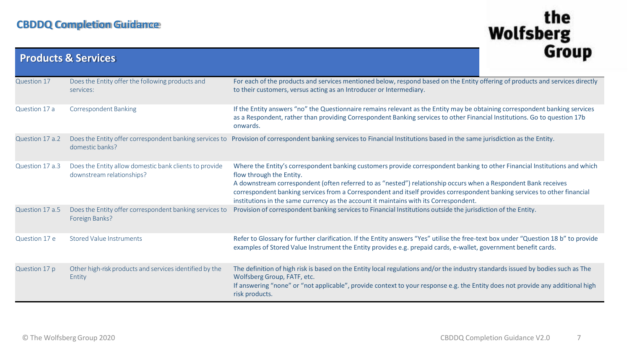|                 | <b>Products &amp; Services</b>                                                      | uivup                                                                                                                                                                                                                                                                                                                                                                                                                                                                                          |
|-----------------|-------------------------------------------------------------------------------------|------------------------------------------------------------------------------------------------------------------------------------------------------------------------------------------------------------------------------------------------------------------------------------------------------------------------------------------------------------------------------------------------------------------------------------------------------------------------------------------------|
| Question 17     | Does the Entity offer the following products and<br>services:                       | For each of the products and services mentioned below, respond based on the Entity offering of products and services directly<br>to their customers, versus acting as an Introducer or Intermediary.                                                                                                                                                                                                                                                                                           |
| Question 17 a   | <b>Correspondent Banking</b>                                                        | If the Entity answers "no" the Questionnaire remains relevant as the Entity may be obtaining correspondent banking services<br>as a Respondent, rather than providing Correspondent Banking services to other Financial Institutions. Go to question 17b<br>onwards.                                                                                                                                                                                                                           |
| Question 17 a.2 | domestic banks?                                                                     | Does the Entity offer correspondent banking services to Provision of correspondent banking services to Financial Institutions based in the same jurisdiction as the Entity.                                                                                                                                                                                                                                                                                                                    |
| Question 17 a.3 | Does the Entity allow domestic bank clients to provide<br>downstream relationships? | Where the Entity's correspondent banking customers provide correspondent banking to other Financial Institutions and which<br>flow through the Entity.<br>A downstream correspondent (often referred to as "nested") relationship occurs when a Respondent Bank receives<br>correspondent banking services from a Correspondent and itself provides correspondent banking services to other financial<br>institutions in the same currency as the account it maintains with its Correspondent. |
| Question 17 a.5 | Does the Entity offer correspondent banking services to<br>Foreign Banks?           | Provision of correspondent banking services to Financial Institutions outside the jurisdiction of the Entity.                                                                                                                                                                                                                                                                                                                                                                                  |
| Question 17 e   | <b>Stored Value Instruments</b>                                                     | Refer to Glossary for further clarification. If the Entity answers "Yes" utilise the free-text box under "Question 18 b" to provide<br>examples of Stored Value Instrument the Entity provides e.g. prepaid cards, e-wallet, government benefit cards.                                                                                                                                                                                                                                         |
| Question 17 p   | Other high-risk products and services identified by the<br>Entity                   | The definition of high risk is based on the Entity local regulations and/or the industry standards issued by bodies such as The<br>Wolfsberg Group, FATF, etc.<br>If answering "none" or "not applicable", provide context to your response e.g. the Entity does not provide any additional high<br>risk products.                                                                                                                                                                             |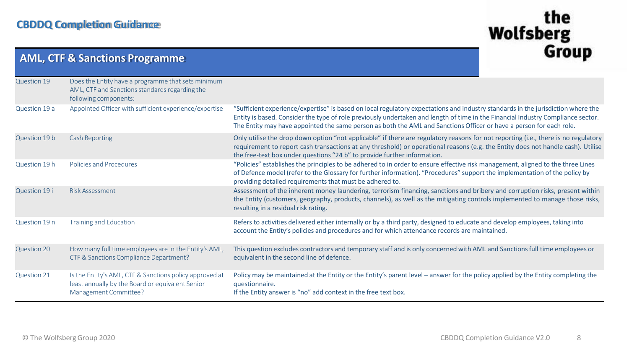**AML, CTF & Sanctions Programme**

|               | AIVIL, CTF & Sanctions Programme                                                                                                     |                                                                                                                                                                                                                                                                                                                                                                                             | ---- <b>-</b> |
|---------------|--------------------------------------------------------------------------------------------------------------------------------------|---------------------------------------------------------------------------------------------------------------------------------------------------------------------------------------------------------------------------------------------------------------------------------------------------------------------------------------------------------------------------------------------|---------------|
| Question 19   | Does the Entity have a programme that sets minimum<br>AML, CTF and Sanctions standards regarding the<br>following components:        |                                                                                                                                                                                                                                                                                                                                                                                             |               |
| Question 19 a | Appointed Officer with sufficient experience/expertise                                                                               | "Sufficient experience/expertise" is based on local regulatory expectations and industry standards in the jurisdiction where the<br>Entity is based. Consider the type of role previously undertaken and length of time in the Financial Industry Compliance sector.<br>The Entity may have appointed the same person as both the AML and Sanctions Officer or have a person for each role. |               |
| Question 19 b | <b>Cash Reporting</b>                                                                                                                | Only utilise the drop down option "not applicable" if there are regulatory reasons for not reporting (i.e., there is no regulatory<br>requirement to report cash transactions at any threshold) or operational reasons (e.g. the Entity does not handle cash). Utilise<br>the free-text box under questions "24 b" to provide further information.                                          |               |
| Question 19 h | <b>Policies and Procedures</b>                                                                                                       | "Policies" establishes the principles to be adhered to in order to ensure effective risk management, aligned to the three Lines<br>of Defence model (refer to the Glossary for further information). "Procedures" support the implementation of the policy by<br>providing detailed requirements that must be adhered to.                                                                   |               |
| Question 19 i | <b>Risk Assessment</b>                                                                                                               | Assessment of the inherent money laundering, terrorism financing, sanctions and bribery and corruption risks, present within<br>the Entity (customers, geography, products, channels), as well as the mitigating controls implemented to manage those risks,<br>resulting in a residual risk rating.                                                                                        |               |
| Question 19 n | <b>Training and Education</b>                                                                                                        | Refers to activities delivered either internally or by a third party, designed to educate and develop employees, taking into<br>account the Entity's policies and procedures and for which attendance records are maintained.                                                                                                                                                               |               |
| Question 20   | How many full time employees are in the Entity's AML,<br>CTF & Sanctions Compliance Department?                                      | This question excludes contractors and temporary staff and is only concerned with AML and Sanctions full time employees or<br>equivalent in the second line of defence.                                                                                                                                                                                                                     |               |
| Question 21   | Is the Entity's AML, CTF & Sanctions policy approved at<br>least annually by the Board or equivalent Senior<br>Management Committee? | Policy may be maintained at the Entity or the Entity's parent level - answer for the policy applied by the Entity completing the<br>questionnaire.<br>If the Entity answer is "no" add context in the free text box.                                                                                                                                                                        |               |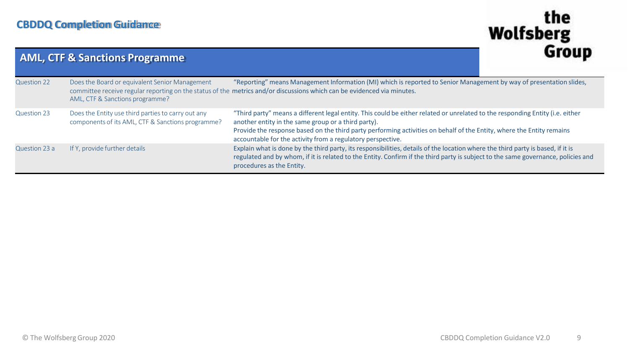|                    | <b>AML, CTF &amp; Sanctions Programme</b>                                                               |                                                                                                                                                                                                                                                                                                                                                                              | uluu |
|--------------------|---------------------------------------------------------------------------------------------------------|------------------------------------------------------------------------------------------------------------------------------------------------------------------------------------------------------------------------------------------------------------------------------------------------------------------------------------------------------------------------------|------|
| <b>Question 22</b> | Does the Board or equivalent Senior Management<br>AML, CTF & Sanctions programme?                       | "Reporting" means Management Information (MI) which is reported to Senior Management by way of presentation slides,<br>committee receive regular reporting on the status of the metrics and/or discussions which can be evidenced via minutes.                                                                                                                               |      |
| Question 23        | Does the Entity use third parties to carry out any<br>components of its AML, CTF & Sanctions programme? | "Third party" means a different legal entity. This could be either related or unrelated to the responding Entity (i.e. either<br>another entity in the same group or a third party).<br>Provide the response based on the third party performing activities on behalf of the Entity, where the Entity remains<br>accountable for the activity from a regulatory perspective. |      |
| Question 23 a      | If Y, provide further details                                                                           | Explain what is done by the third party, its responsibilities, details of the location where the third party is based, if it is<br>regulated and by whom, if it is related to the Entity. Confirm if the third party is subject to the same governance, policies and<br>procedures as the Entity.                                                                            |      |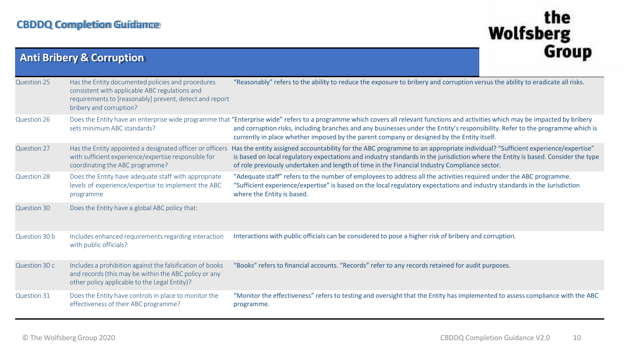| <b>Anti Bribery &amp; Corruption</b> |                                                                                                                                                                                           | uluup                                                                                                                                                                                                                                                                                                                                                                                                              |  |
|--------------------------------------|-------------------------------------------------------------------------------------------------------------------------------------------------------------------------------------------|--------------------------------------------------------------------------------------------------------------------------------------------------------------------------------------------------------------------------------------------------------------------------------------------------------------------------------------------------------------------------------------------------------------------|--|
| <b>Question 25</b>                   | Has the Entity documented policies and procedures<br>consistent with applicable ABC regulations and<br>requirements to [reasonably] prevent, detect and report<br>bribery and corruption? | "Reasonably" refers to the ability to reduce the exposure to bribery and corruption versus the ability to eradicate all risks.                                                                                                                                                                                                                                                                                     |  |
| Question 26                          | sets minimum ABC standards?                                                                                                                                                               | Does the Entity have an enterprise wide programme that "Enterprise wide" refers to a programme which covers all relevant functions and activities which may be impacted by bribery<br>and corruption risks, including branches and any businesses under the Entity's responsibility. Refer to the programme which is<br>currently in place whether imposed by the parent company or designed by the Entity itself. |  |
| Question 27                          | Has the Entity appointed a designated officer or officers<br>with sufficient experience/expertise responsible for<br>coordinating the ABC programme?                                      | Has the entity assigned accountability for the ABC programme to an appropriate individual? "Sufficient experience/expertise"<br>is based on local regulatory expectations and industry standards in the jurisdiction where the Entity is based. Consider the type<br>of role previously undertaken and length of time in the Financial Industry Compliance sector.                                                 |  |
| Question 28                          | Does the Entity have adequate staff with appropriate<br>levels of experience/expertise to implement the ABC<br>programme                                                                  | "Adequate staff" refers to the number of employees to address all the activities required under the ABC programme.<br>"Sufficient experience/expertise" is based on the local regulatory expectations and industry standards in the Jurisdiction<br>where the Entity is based.                                                                                                                                     |  |
| <b>Question 30</b>                   | Does the Entity have a global ABC policy that:                                                                                                                                            |                                                                                                                                                                                                                                                                                                                                                                                                                    |  |
| Question 30 b                        | Includes enhanced requirements regarding interaction<br>with public officials?                                                                                                            | Interactions with public officials can be considered to pose a higher risk of bribery and corruption.                                                                                                                                                                                                                                                                                                              |  |
| Question 30 c                        | Includes a prohibition against the falsification of books<br>and records (this may be within the ABC policy or any<br>other policy applicable to the Legal Entity)?                       | "Books" refers to financial accounts. "Records" refer to any records retained for audit purposes.                                                                                                                                                                                                                                                                                                                  |  |
| Question 31                          | Does the Entity have controls in place to monitor the<br>effectiveness of their ABC programme?                                                                                            | "Monitor the effectiveness" refers to testing and oversight that the Entity has implemented to assess compliance with the ABC<br>programme.                                                                                                                                                                                                                                                                        |  |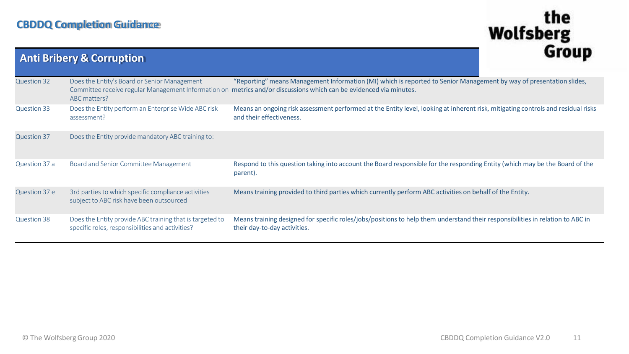|                    | <b>Anti Bribery &amp; Corruption</b>                                                                                |                                                                                                                                                                                       | uluu |
|--------------------|---------------------------------------------------------------------------------------------------------------------|---------------------------------------------------------------------------------------------------------------------------------------------------------------------------------------|------|
| Question 32        | Does the Entity's Board or Senior Management<br>Committee receive regular Management Information on<br>ABC matters? | "Reporting" means Management Information (MI) which is reported to Senior Management by way of presentation slides,<br>metrics and/or discussions which can be evidenced via minutes. |      |
| Question 33        | Does the Entity perform an Enterprise Wide ABC risk<br>assessment?                                                  | Means an ongoing risk assessment performed at the Entity level, looking at inherent risk, mitigating controls and residual risks<br>and their effectiveness.                          |      |
| <b>Question 37</b> | Does the Entity provide mandatory ABC training to:                                                                  |                                                                                                                                                                                       |      |
| Question 37 a      | Board and Senior Committee Management                                                                               | Respond to this question taking into account the Board responsible for the responding Entity (which may be the Board of the<br>parent).                                               |      |
| Question 37 e      | 3rd parties to which specific compliance activities<br>subject to ABC risk have been outsourced                     | Means training provided to third parties which currently perform ABC activities on behalf of the Entity.                                                                              |      |
| Question 38        | Does the Entity provide ABC training that is targeted to<br>specific roles, responsibilities and activities?        | Means training designed for specific roles/jobs/positions to help them understand their responsibilities in relation to ABC in<br>their day-to-day activities.                        |      |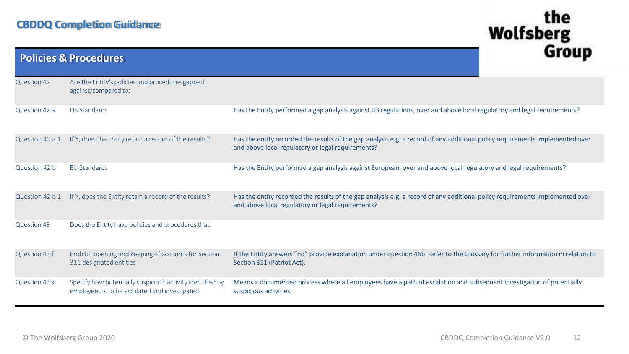|                    | <b>Policies &amp; Procedures</b>                                                                           |                                                                                                                                                                                   | unuu |
|--------------------|------------------------------------------------------------------------------------------------------------|-----------------------------------------------------------------------------------------------------------------------------------------------------------------------------------|------|
| <b>Question 42</b> | Are the Entity's policies and procedures gapped<br>against/compared to:                                    |                                                                                                                                                                                   |      |
| Question 42 a      | <b>US Standards</b>                                                                                        | Has the Entity performed a gap analysis against US regulations, over and above local regulatory and legal requirements?                                                           |      |
| Question 42 a 1    | If Y, does the Entity retain a record of the results?                                                      | Has the entity recorded the results of the gap analysis e.g. a record of any additional policy requirements implemented over<br>and above local regulatory or legal requirements? |      |
| Question 42 b      | EU Standards                                                                                               | Has the Entity performed a gap analysis against European, over and above local regulatory and legal requirements?                                                                 |      |
| Question 42 b 1    | If Y, does the Entity retain a record of the results?                                                      | Has the entity recorded the results of the gap analysis e.g. a record of any additional policy requirements implemented over<br>and above local regulatory or legal requirements? |      |
| Question 43        | Does the Entity have policies and procedures that:                                                         |                                                                                                                                                                                   |      |
| Question 43 f      | Prohibit opening and keeping of accounts for Section<br>311 designated entities                            | If the Entity answers "no" provide explanation under question 46b. Refer to the Glossary for further information in relation to<br>Section 311 (Patriot Act).                     |      |
| Question 43 k      | Specify how potentially suspicious activity identified by<br>employees is to be escalated and investigated | Means a documented process where all employees have a path of escalation and subsequent investigation of potentially<br>suspicious activities                                     |      |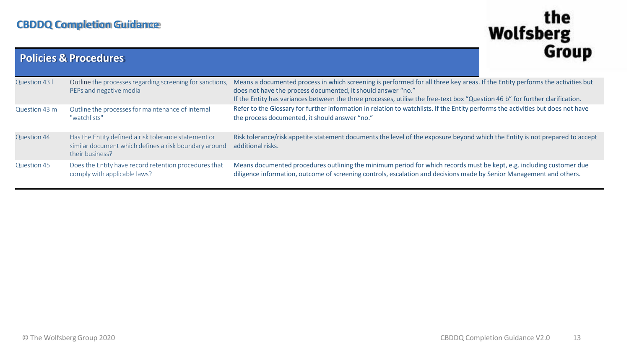|                    | <b>Policies &amp; Procedures</b>                                                                                                 |                                                                                                                                                                                                                                                                                                                                | unuu |
|--------------------|----------------------------------------------------------------------------------------------------------------------------------|--------------------------------------------------------------------------------------------------------------------------------------------------------------------------------------------------------------------------------------------------------------------------------------------------------------------------------|------|
| Question 43 l      | Outline the processes regarding screening for sanctions,<br>PEPs and negative media                                              | Means a documented process in which screening is performed for all three key areas. If the Entity performs the activities but<br>does not have the process documented, it should answer "no."<br>If the Entity has variances between the three processes, utilise the free-text box "Question 46 b" for further clarification. |      |
| Question 43 m      | Outline the processes for maintenance of internal<br>"watchlists"                                                                | Refer to the Glossary for further information in relation to watchlists. If the Entity performs the activities but does not have<br>the process documented, it should answer "no."                                                                                                                                             |      |
| <b>Question 44</b> | Has the Entity defined a risk tolerance statement or<br>similar document which defines a risk boundary around<br>their business? | Risk tolerance/risk appetite statement documents the level of the exposure beyond which the Entity is not prepared to accept<br>additional risks.                                                                                                                                                                              |      |
| <b>Question 45</b> | Does the Entity have record retention procedures that<br>comply with applicable laws?                                            | Means documented procedures outlining the minimum period for which records must be kept, e.g. including customer due<br>diligence information, outcome of screening controls, escalation and decisions made by Senior Management and others.                                                                                   |      |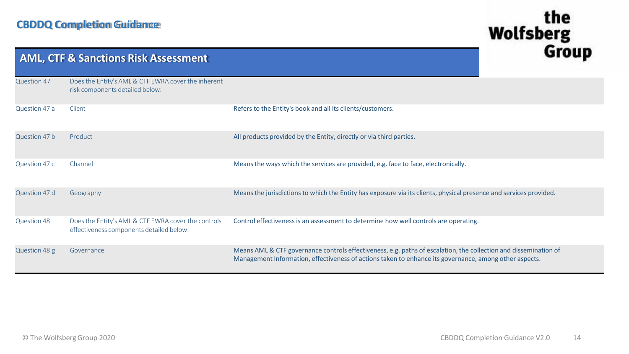|               | <b>AML, CTF &amp; Sanctions Risk Assessment</b>                                                 | uivup                                                                                                                                                                                                                      |
|---------------|-------------------------------------------------------------------------------------------------|----------------------------------------------------------------------------------------------------------------------------------------------------------------------------------------------------------------------------|
| Question 47   | Does the Entity's AML & CTF EWRA cover the inherent<br>risk components detailed below:          |                                                                                                                                                                                                                            |
| Question 47 a | Client                                                                                          | Refers to the Entity's book and all its clients/customers.                                                                                                                                                                 |
| Question 47 b | Product                                                                                         | All products provided by the Entity, directly or via third parties.                                                                                                                                                        |
| Question 47 c | Channel                                                                                         | Means the ways which the services are provided, e.g. face to face, electronically.                                                                                                                                         |
| Question 47 d | Geography                                                                                       | Means the jurisdictions to which the Entity has exposure via its clients, physical presence and services provided.                                                                                                         |
| Question 48   | Does the Entity's AML & CTF EWRA cover the controls<br>effectiveness components detailed below: | Control effectiveness is an assessment to determine how well controls are operating.                                                                                                                                       |
| Question 48 g | Governance                                                                                      | Means AML & CTF governance controls effectiveness, e.g. paths of escalation, the collection and dissemination of<br>Management Information, effectiveness of actions taken to enhance its governance, among other aspects. |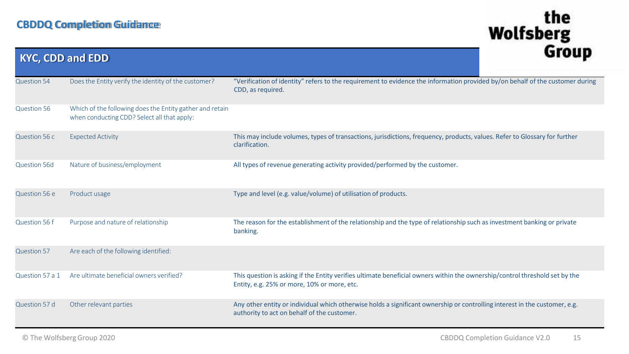| <b>KYC, CDD and EDD</b> |                                                                                                         | ulvup                                                                                                                                                                      |
|-------------------------|---------------------------------------------------------------------------------------------------------|----------------------------------------------------------------------------------------------------------------------------------------------------------------------------|
| <b>Question 54</b>      | Does the Entity verify the identity of the customer?                                                    | "Verification of identity" refers to the requirement to evidence the information provided by/on behalf of the customer during<br>CDD, as required.                         |
| Question 56             | Which of the following does the Entity gather and retain<br>when conducting CDD? Select all that apply: |                                                                                                                                                                            |
| Question 56 c           | <b>Expected Activity</b>                                                                                | This may include volumes, types of transactions, jurisdictions, frequency, products, values. Refer to Glossary for further<br>clarification.                               |
| <b>Question 56d</b>     | Nature of business/employment                                                                           | All types of revenue generating activity provided/performed by the customer.                                                                                               |
| Question 56 e           | Product usage                                                                                           | Type and level (e.g. value/volume) of utilisation of products.                                                                                                             |
| Question 56 f           | Purpose and nature of relationship                                                                      | The reason for the establishment of the relationship and the type of relationship such as investment banking or private<br>banking.                                        |
| <b>Question 57</b>      | Are each of the following identified:                                                                   |                                                                                                                                                                            |
| Question 57 a 1         | Are ultimate beneficial owners verified?                                                                | This question is asking if the Entity verifies ultimate beneficial owners within the ownership/control threshold set by the<br>Entity, e.g. 25% or more, 10% or more, etc. |
| Question 57 d           | Other relevant parties                                                                                  | Any other entity or individual which otherwise holds a significant ownership or controlling interest in the customer, e.g.<br>authority to act on behalf of the customer.  |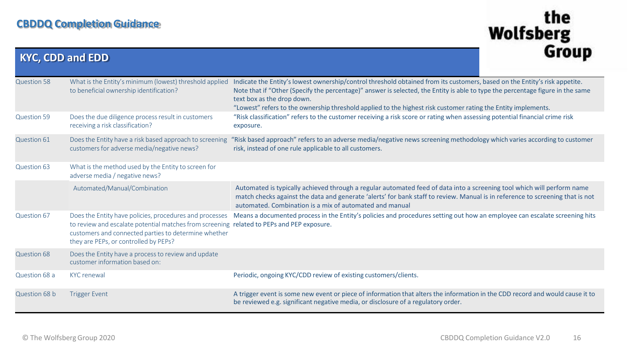| <b>KYC, CDD and EDD</b> |                                                                                                                                                                                                                                                       |                                                                                                                                                                                                                                                                                                                                                                                                             | uluu |
|-------------------------|-------------------------------------------------------------------------------------------------------------------------------------------------------------------------------------------------------------------------------------------------------|-------------------------------------------------------------------------------------------------------------------------------------------------------------------------------------------------------------------------------------------------------------------------------------------------------------------------------------------------------------------------------------------------------------|------|
| <b>Question 58</b>      | What is the Entity's minimum (lowest) threshold applied<br>to beneficial ownership identification?                                                                                                                                                    | Indicate the Entity's lowest ownership/control threshold obtained from its customers, based on the Entity's risk appetite.<br>Note that if "Other (Specify the percentage)" answer is selected, the Entity is able to type the percentage figure in the same<br>text box as the drop down.<br>"Lowest" refers to the ownership threshold applied to the highest risk customer rating the Entity implements. |      |
| <b>Question 59</b>      | Does the due diligence process result in customers<br>receiving a risk classification?                                                                                                                                                                | "Risk classification" refers to the customer receiving a risk score or rating when assessing potential financial crime risk<br>exposure.                                                                                                                                                                                                                                                                    |      |
| Question 61             | Does the Entity have a risk based approach to screening<br>customers for adverse media/negative news?                                                                                                                                                 | "Risk based approach" refers to an adverse media/negative news screening methodology which varies according to customer<br>risk, instead of one rule applicable to all customers.                                                                                                                                                                                                                           |      |
| Question 63             | What is the method used by the Entity to screen for<br>adverse media / negative news?                                                                                                                                                                 |                                                                                                                                                                                                                                                                                                                                                                                                             |      |
|                         | Automated/Manual/Combination                                                                                                                                                                                                                          | Automated is typically achieved through a regular automated feed of data into a screening tool which will perform name<br>match checks against the data and generate 'alerts' for bank staff to review. Manual is in reference to screening that is not<br>automated. Combination is a mix of automated and manual                                                                                          |      |
| Question 67             | Does the Entity have policies, procedures and processes<br>to review and escalate potential matches from screening related to PEPs and PEP exposure.<br>customers and connected parties to determine whether<br>they are PEPs, or controlled by PEPs? | Means a documented process in the Entity's policies and procedures setting out how an employee can escalate screening hits                                                                                                                                                                                                                                                                                  |      |
| <b>Question 68</b>      | Does the Entity have a process to review and update<br>customer information based on:                                                                                                                                                                 |                                                                                                                                                                                                                                                                                                                                                                                                             |      |
| Question 68 a           | <b>KYC</b> renewal                                                                                                                                                                                                                                    | Periodic, ongoing KYC/CDD review of existing customers/clients.                                                                                                                                                                                                                                                                                                                                             |      |
| Question 68 b           | <b>Trigger Event</b>                                                                                                                                                                                                                                  | A trigger event is some new event or piece of information that alters the information in the CDD record and would cause it to<br>be reviewed e.g. significant negative media, or disclosure of a regulatory order.                                                                                                                                                                                          |      |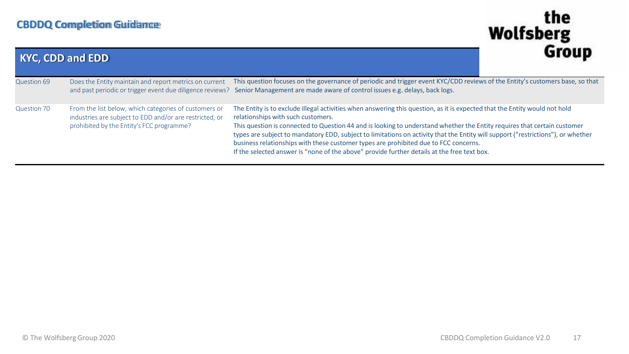| <b>KYC, CDD and EDD</b> | uluu                                                                                                                                                          |                                                                                                                                                                                                                                                                                                                                                                                                                                                                                                                                                                                                                         |
|-------------------------|---------------------------------------------------------------------------------------------------------------------------------------------------------------|-------------------------------------------------------------------------------------------------------------------------------------------------------------------------------------------------------------------------------------------------------------------------------------------------------------------------------------------------------------------------------------------------------------------------------------------------------------------------------------------------------------------------------------------------------------------------------------------------------------------------|
| Question 69             | Does the Entity maintain and report metrics on current                                                                                                        | This question focuses on the governance of periodic and trigger event KYC/CDD reviews of the Entity's customers base, so that<br>and past periodic or trigger event due diligence reviews? Senior Management are made aware of control issues e.g. delays, back logs.                                                                                                                                                                                                                                                                                                                                                   |
| Question 70             | From the list below, which categories of customers or<br>industries are subject to EDD and/or are restricted, or<br>prohibited by the Entity's FCC programme? | The Entity is to exclude illegal activities when answering this question, as it is expected that the Entity would not hold<br>relationships with such customers.<br>This question is connected to Question 44 and is looking to understand whether the Entity requires that certain customer<br>types are subject to mandatory EDD, subject to limitations on activity that the Entity will support ("restrictions"), or whether<br>business relationships with these customer types are prohibited due to FCC concerns.<br>If the selected answer is "none of the above" provide further details at the free text box. |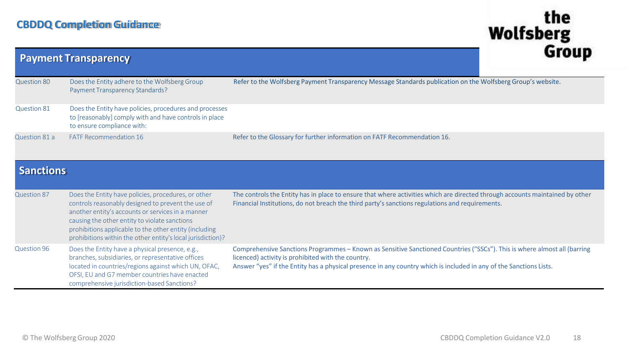| <b>Payment Transparency</b> | uivuµ                                                                                                                                                                                                                                                                                                                                    |                                                                                                                                                                                                                                                                                                      |
|-----------------------------|------------------------------------------------------------------------------------------------------------------------------------------------------------------------------------------------------------------------------------------------------------------------------------------------------------------------------------------|------------------------------------------------------------------------------------------------------------------------------------------------------------------------------------------------------------------------------------------------------------------------------------------------------|
| Question 80                 | Does the Entity adhere to the Wolfsberg Group<br>Payment Transparency Standards?                                                                                                                                                                                                                                                         | Refer to the Wolfsberg Payment Transparency Message Standards publication on the Wolfsberg Group's website.                                                                                                                                                                                          |
| Question 81                 | Does the Entity have policies, procedures and processes<br>to [reasonably] comply with and have controls in place<br>to ensure compliance with:                                                                                                                                                                                          |                                                                                                                                                                                                                                                                                                      |
| Question 81 a               | <b>FATF Recommendation 16</b>                                                                                                                                                                                                                                                                                                            | Refer to the Glossary for further information on FATF Recommendation 16.                                                                                                                                                                                                                             |
| <b>Sanctions</b>            |                                                                                                                                                                                                                                                                                                                                          |                                                                                                                                                                                                                                                                                                      |
| <b>Question 87</b>          | Does the Entity have policies, procedures, or other<br>controls reasonably designed to prevent the use of<br>another entity's accounts or services in a manner<br>causing the other entity to violate sanctions<br>prohibitions applicable to the other entity (including<br>prohibitions within the other entity's local jurisdiction)? | The controls the Entity has in place to ensure that where activities which are directed through accounts maintained by other<br>Financial Institutions, do not breach the third party's sanctions regulations and requirements.                                                                      |
| Question 96                 | Does the Entity have a physical presence, e.g.,<br>branches, subsidiaries, or representative offices<br>located in countries/regions against which UN, OFAC,<br>OFSI, EU and G7 member countries have enacted<br>comprehensive jurisdiction-based Sanctions?                                                                             | Comprehensive Sanctions Programmes - Known as Sensitive Sanctioned Countries ("SSCs"). This is where almost all (barring<br>licenced) activity is prohibited with the country.<br>Answer "yes" if the Entity has a physical presence in any country which is included in any of the Sanctions Lists. |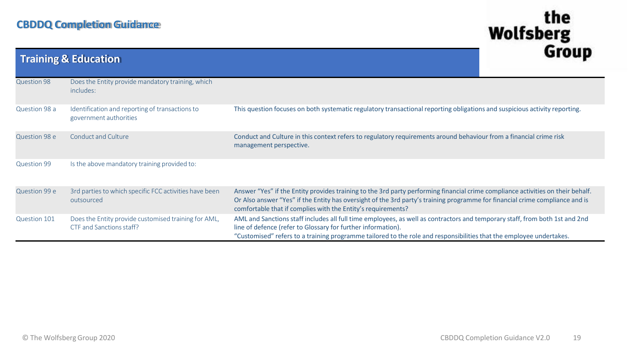#### **CBDDQ Completion Guidance**

| <b>Training &amp; Education</b> |                                                                                  |                                                                                                                                                                                                                                                                                                                                 | uivuu |
|---------------------------------|----------------------------------------------------------------------------------|---------------------------------------------------------------------------------------------------------------------------------------------------------------------------------------------------------------------------------------------------------------------------------------------------------------------------------|-------|
| Question 98                     | Does the Entity provide mandatory training, which<br>includes:                   |                                                                                                                                                                                                                                                                                                                                 |       |
| Question 98 a                   | Identification and reporting of transactions to<br>government authorities        | This question focuses on both systematic regulatory transactional reporting obligations and suspicious activity reporting.                                                                                                                                                                                                      |       |
| Question 98 e                   | <b>Conduct and Culture</b>                                                       | Conduct and Culture in this context refers to regulatory requirements around behaviour from a financial crime risk<br>management perspective.                                                                                                                                                                                   |       |
| <b>Question 99</b>              | Is the above mandatory training provided to:                                     |                                                                                                                                                                                                                                                                                                                                 |       |
| Question 99 e                   | 3rd parties to which specific FCC activities have been<br>outsourced             | Answer "Yes" if the Entity provides training to the 3rd party performing financial crime compliance activities on their behalf.<br>Or Also answer "Yes" if the Entity has oversight of the 3rd party's training programme for financial crime compliance and is<br>comfortable that if complies with the Entity's requirements? |       |
| Question 101                    | Does the Entity provide customised training for AML,<br>CTF and Sanctions staff? | AML and Sanctions staff includes all full time employees, as well as contractors and temporary staff, from both 1st and 2nd<br>line of defence (refer to Glossary for further information).<br>"Customised" refers to a training programme tailored to the role and responsibilities that the employee undertakes.              |       |